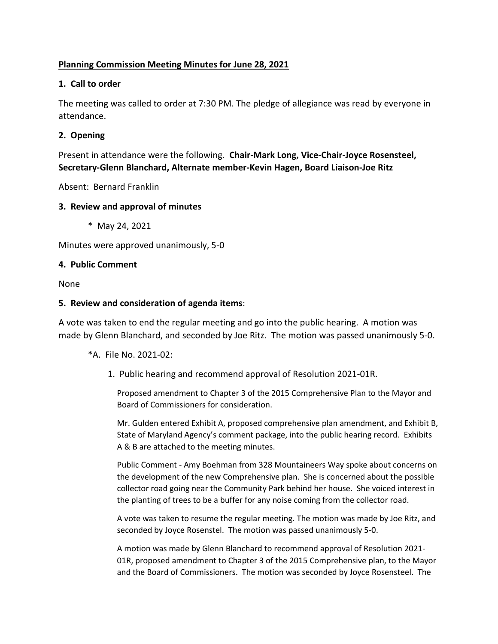# **Planning Commission Meeting Minutes for June 28, 2021**

## **1. Call to order**

The meeting was called to order at 7:30 PM. The pledge of allegiance was read by everyone in attendance.

# **2. Opening**

Present in attendance were the following. **Chair-Mark Long, Vice-Chair-Joyce Rosensteel, Secretary-Glenn Blanchard, Alternate member-Kevin Hagen, Board Liaison-Joe Ritz**

Absent: Bernard Franklin

### **3. Review and approval of minutes**

\* May 24, 2021

Minutes were approved unanimously, 5-0

### **4. Public Comment**

None

### **5. Review and consideration of agenda items**:

A vote was taken to end the regular meeting and go into the public hearing. A motion was made by Glenn Blanchard, and seconded by Joe Ritz. The motion was passed unanimously 5-0.

\*A. File No. 2021-02:

1. Public hearing and recommend approval of Resolution 2021-01R.

Proposed amendment to Chapter 3 of the 2015 Comprehensive Plan to the Mayor and Board of Commissioners for consideration.

Mr. Gulden entered Exhibit A, proposed comprehensive plan amendment, and Exhibit B, State of Maryland Agency's comment package, into the public hearing record. Exhibits A & B are attached to the meeting minutes.

Public Comment - Amy Boehman from 328 Mountaineers Way spoke about concerns on the development of the new Comprehensive plan. She is concerned about the possible collector road going near the Community Park behind her house. She voiced interest in the planting of trees to be a buffer for any noise coming from the collector road.

A vote was taken to resume the regular meeting. The motion was made by Joe Ritz, and seconded by Joyce Rosenstel. The motion was passed unanimously 5-0.

A motion was made by Glenn Blanchard to recommend approval of Resolution 2021- 01R, proposed amendment to Chapter 3 of the 2015 Comprehensive plan, to the Mayor and the Board of Commissioners. The motion was seconded by Joyce Rosensteel. The